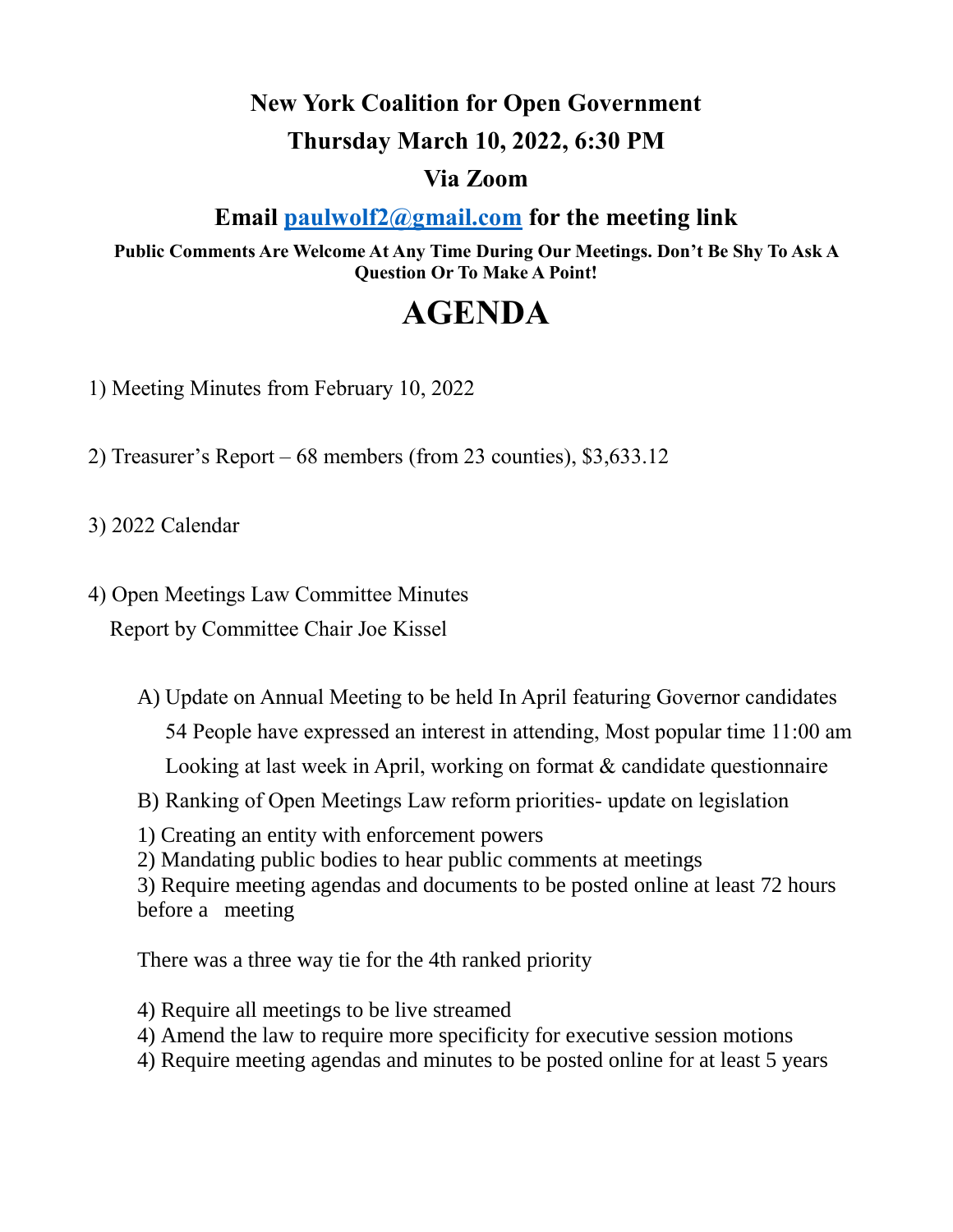## **New York Coalition for Open Government Thursday March 10, 2022, 6:30 PM**

## **Via Zoom**

## **Email [paulwolf2@gmail.com](mailto:paulwolf2@gmail.com) for the meeting link**

**Public Comments Are Welcome At Any Time During Our Meetings. Don't Be Shy To Ask A Question Or To Make A Point!**

## **AGENDA**

1) Meeting Minutes from February 10, 2022

2) Treasurer's Report – 68 members (from 23 counties), \$3,633.12

3) 2022 Calendar

4) Open Meetings Law Committee Minutes Report by Committee Chair Joe Kissel

> A) Update on Annual Meeting to be held In April featuring Governor candidates 54 People have expressed an interest in attending, Most popular time 11:00 am Looking at last week in April, working on format & candidate questionnaire B) Ranking of Open Meetings Law reform priorities- update on legislation

1) Creating an entity with enforcement powers

2) Mandating public bodies to hear public comments at meetings

3) Require meeting agendas and documents to be posted online at least 72 hours before a meeting

There was a three way tie for the 4th ranked priority

4) Require all meetings to be live streamed

4) Amend the law to require more specificity for executive session motions

4) Require meeting agendas and minutes to be posted online for at least 5 years